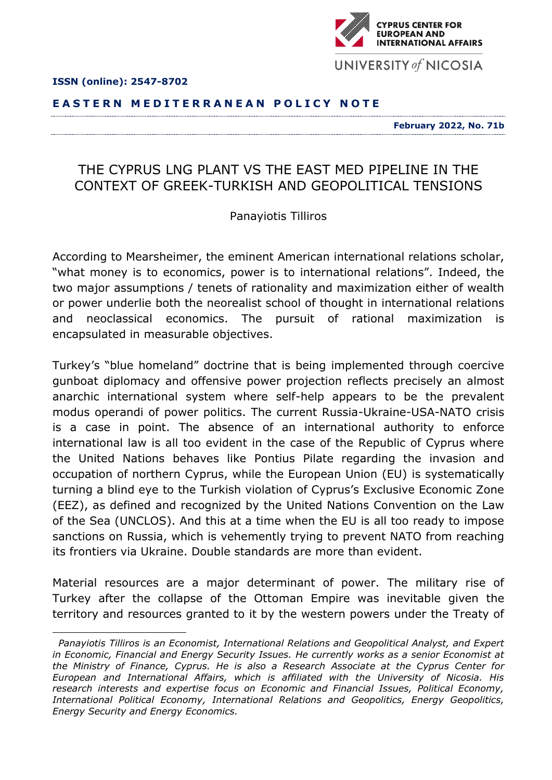

## **E A S T E R N M E D I T E R R A N E A N P O L I C Y N O T E**

**February 2022, No. 71b**

## THE CYPRUS LNG PLANT VS THE EAST MED PIPELINE IN THE CONTEXT OF GREEK-TURKISH AND GEOPOLITICAL TENSIONS

## Panayiotis Tilliros

According to Mearsheimer, the eminent American international relations scholar, "what money is to economics, power is to international relations". Indeed, the two major assumptions / tenets of rationality and maximization either of wealth or power underlie both the neorealist school of thought in international relations and neoclassical economics. The pursuit of rational maximization is encapsulated in measurable objectives.

Turkey's "blue homeland" doctrine that is being implemented through coercive gunboat diplomacy and offensive power projection reflects precisely an almost anarchic international system where self-help appears to be the prevalent modus operandi of power politics. The current Russia-Ukraine-USA-NATO crisis is a case in point. The absence of an international authority to enforce international law is all too evident in the case of the Republic of Cyprus where the United Nations behaves like Pontius Pilate regarding the invasion and occupation of northern Cyprus, while the European Union (EU) is systematically turning a blind eye to the Turkish violation of Cyprus's Exclusive Economic Zone (EEZ), as defined and recognized by the United Nations Convention on the Law of the Sea (UNCLOS). And this at a time when the EU is all too ready to impose sanctions on Russia, which is vehemently trying to prevent NATO from reaching its frontiers via Ukraine. Double standards are more than evident.

Material resources are a major determinant of power. The military rise of Turkey after the collapse of the Ottoman Empire was inevitable given the territory and resources granted to it by the western powers under the Treaty of



*Panayiotis Tilliros is an Economist, International Relations and Geopolitical Analyst, and Expert in Economic, Financial and Energy Security Issues. He currently works as a senior Economist at the Ministry of Finance, Cyprus. He is also a Research Associate at the Cyprus Center for European and International Affairs, which is affiliated with the University of Nicosia. His research interests and expertise focus on Economic and Financial Issues, Political Economy, International Political Economy, International Relations and Geopolitics, Energy Geopolitics, Energy Security and Energy Economics.*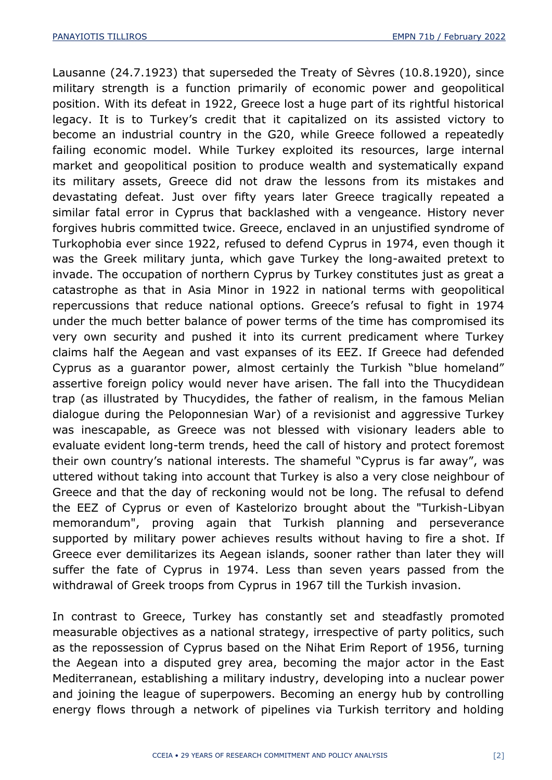Lausanne (24.7.1923) that superseded the Treaty of Sèvres (10.8.1920), since military strength is a function primarily of economic power and geopolitical position. With its defeat in 1922, Greece lost a huge part of its rightful historical legacy. It is to Turkey's credit that it capitalized on its assisted victory to become an industrial country in the G20, while Greece followed a repeatedly failing economic model. While Turkey exploited its resources, large internal market and geopolitical position to produce wealth and systematically expand its military assets, Greece did not draw the lessons from its mistakes and devastating defeat. Just over fifty years later Greece tragically repeated a similar fatal error in Cyprus that backlashed with a vengeance. History never forgives hubris committed twice. Greece, enclaved in an unjustified syndrome of Turkophobia ever since 1922, refused to defend Cyprus in 1974, even though it was the Greek military junta, which gave Turkey the long-awaited pretext to invade. The occupation of northern Cyprus by Turkey constitutes just as great a catastrophe as that in Asia Minor in 1922 in national terms with geopolitical repercussions that reduce national options. Greece's refusal to fight in 1974 under the much better balance of power terms of the time has compromised its very own security and pushed it into its current predicament where Turkey claims half the Aegean and vast expanses of its EEZ. If Greece had defended Cyprus as a guarantor power, almost certainly the Turkish "blue homeland" assertive foreign policy would never have arisen. The fall into the Thucydidean trap (as illustrated by Thucydides, the father of realism, in the famous Melian dialogue during the Peloponnesian War) of a revisionist and aggressive Turkey was inescapable, as Greece was not blessed with visionary leaders able to evaluate evident long-term trends, heed the call of history and protect foremost their own country's national interests. The shameful "Cyprus is far away", was uttered without taking into account that Turkey is also a very close neighbour of Greece and that the day of reckoning would not be long. The refusal to defend the EEZ of Cyprus or even of Kastelorizo brought about the "Turkish-Libyan memorandum", proving again that Turkish planning and perseverance supported by military power achieves results without having to fire a shot. If Greece ever demilitarizes its Aegean islands, sooner rather than later they will suffer the fate of Cyprus in 1974. Less than seven years passed from the withdrawal of Greek troops from Cyprus in 1967 till the Turkish invasion.

In contrast to Greece, Turkey has constantly set and steadfastly promoted measurable objectives as a national strategy, irrespective of party politics, such as the repossession of Cyprus based on the Nihat Erim Report of 1956, turning the Aegean into a disputed grey area, becoming the major actor in the East Mediterranean, establishing a military industry, developing into a nuclear power and joining the league of superpowers. Becoming an energy hub by controlling energy flows through a network of pipelines via Turkish territory and holding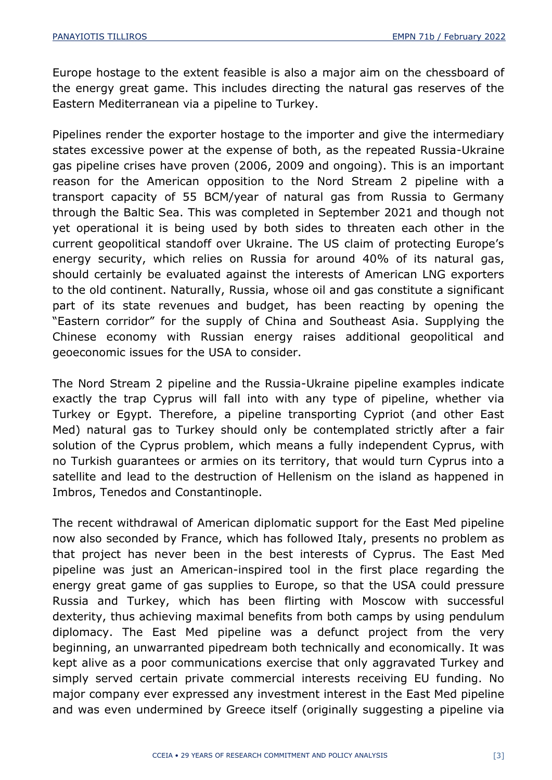Europe hostage to the extent feasible is also a major aim on the chessboard of the energy great game. This includes directing the natural gas reserves of the Eastern Mediterranean via a pipeline to Turkey.

Pipelines render the exporter hostage to the importer and give the intermediary states excessive power at the expense of both, as the repeated Russia-Ukraine gas pipeline crises have proven (2006, 2009 and ongoing). This is an important reason for the American opposition to the Nord Stream 2 pipeline with a transport capacity of 55 BCM/year of natural gas from Russia to Germany through the Baltic Sea. This was completed in September 2021 and though not yet operational it is being used by both sides to threaten each other in the current geopolitical standoff over Ukraine. The US claim of protecting Europe's energy security, which relies on Russia for around 40% of its natural gas, should certainly be evaluated against the interests of American LNG exporters to the old continent. Naturally, Russia, whose oil and gas constitute a significant part of its state revenues and budget, has been reacting by opening the "Eastern corridor" for the supply of China and Southeast Asia. Supplying the Chinese economy with Russian energy raises additional geopolitical and geoeconomic issues for the USA to consider.

The Nord Stream 2 pipeline and the Russia-Ukraine pipeline examples indicate exactly the trap Cyprus will fall into with any type of pipeline, whether via Turkey or Egypt. Therefore, a pipeline transporting Cypriot (and other East Med) natural gas to Turkey should only be contemplated strictly after a fair solution of the Cyprus problem, which means a fully independent Cyprus, with no Turkish guarantees or armies on its territory, that would turn Cyprus into a satellite and lead to the destruction of Hellenism on the island as happened in Imbros, Tenedos and Constantinople.

The recent withdrawal of American diplomatic support for the East Med pipeline now also seconded by France, which has followed Italy, presents no problem as that project has never been in the best interests of Cyprus. The East Med pipeline was just an American-inspired tool in the first place regarding the energy great game of gas supplies to Europe, so that the USA could pressure Russia and Turkey, which has been flirting with Moscow with successful dexterity, thus achieving maximal benefits from both camps by using pendulum diplomacy. The East Med pipeline was a defunct project from the very beginning, an unwarranted pipedream both technically and economically. It was kept alive as a poor communications exercise that only aggravated Turkey and simply served certain private commercial interests receiving EU funding. No major company ever expressed any investment interest in the East Med pipeline and was even undermined by Greece itself (originally suggesting a pipeline via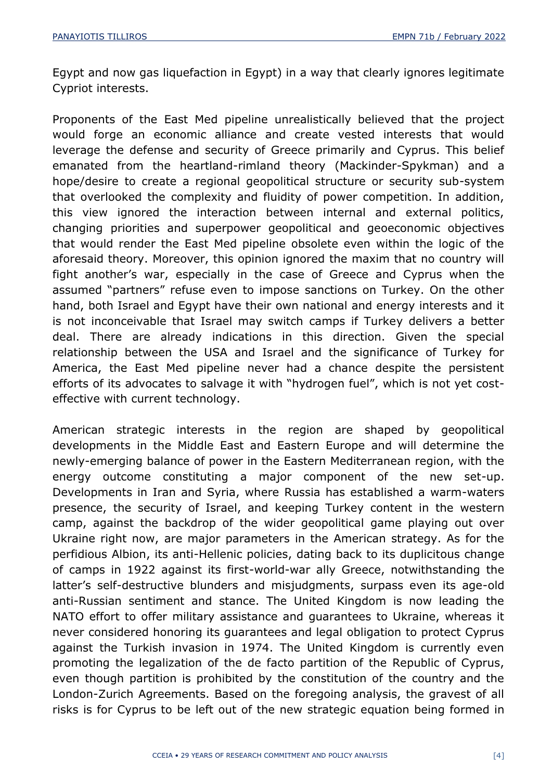Egypt and now gas liquefaction in Egypt) in a way that clearly ignores legitimate Cypriot interests.

Proponents of the East Med pipeline unrealistically believed that the project would forge an economic alliance and create vested interests that would leverage the defense and security of Greece primarily and Cyprus. This belief emanated from the heartland-rimland theory (Mackinder-Spykman) and a hope/desire to create a regional geopolitical structure or security sub-system that overlooked the complexity and fluidity of power competition. In addition, this view ignored the interaction between internal and external politics, changing priorities and superpower geopolitical and geoeconomic objectives that would render the East Med pipeline obsolete even within the logic of the aforesaid theory. Moreover, this opinion ignored the maxim that no country will fight another's war, especially in the case of Greece and Cyprus when the assumed "partners" refuse even to impose sanctions on Turkey. On the other hand, both Israel and Egypt have their own national and energy interests and it is not inconceivable that Israel may switch camps if Turkey delivers a better deal. There are already indications in this direction. Given the special relationship between the USA and Israel and the significance of Turkey for America, the East Med pipeline never had a chance despite the persistent efforts of its advocates to salvage it with "hydrogen fuel", which is not yet costeffective with current technology.

American strategic interests in the region are shaped by geopolitical developments in the Middle East and Eastern Europe and will determine the newly-emerging balance of power in the Eastern Mediterranean region, with the energy outcome constituting a major component of the new set-up. Developments in Iran and Syria, where Russia has established a warm-waters presence, the security of Israel, and keeping Turkey content in the western camp, against the backdrop of the wider geopolitical game playing out over Ukraine right now, are major parameters in the American strategy. As for the perfidious Albion, its anti-Hellenic policies, dating back to its duplicitous change of camps in 1922 against its first-world-war ally Greece, notwithstanding the latter's self-destructive blunders and misjudgments, surpass even its age-old anti-Russian sentiment and stance. The United Kingdom is now leading the NATO effort to offer military assistance and guarantees to Ukraine, whereas it never considered honoring its guarantees and legal obligation to protect Cyprus against the Turkish invasion in 1974. The United Kingdom is currently even promoting the legalization of the de facto partition of the Republic of Cyprus, even though partition is prohibited by the constitution of the country and the London-Zurich Agreements. Based on the foregoing analysis, the gravest of all risks is for Cyprus to be left out of the new strategic equation being formed in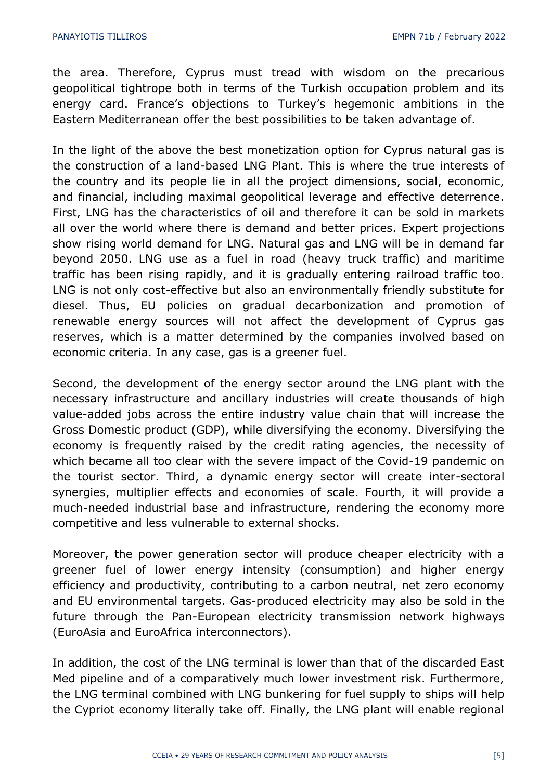the area. Therefore, Cyprus must tread with wisdom on the precarious geopolitical tightrope both in terms of the Turkish occupation problem and its energy card. France's objections to Turkey's hegemonic ambitions in the Eastern Mediterranean offer the best possibilities to be taken advantage of.

In the light of the above the best monetization option for Cyprus natural gas is the construction of a land-based LNG Plant. This is where the true interests of the country and its people lie in all the project dimensions, social, economic, and financial, including maximal geopolitical leverage and effective deterrence. First, LNG has the characteristics of oil and therefore it can be sold in markets all over the world where there is demand and better prices. Expert projections show rising world demand for LNG. Natural gas and LNG will be in demand far beyond 2050. LNG use as a fuel in road (heavy truck traffic) and maritime traffic has been rising rapidly, and it is gradually entering railroad traffic too. LNG is not only cost-effective but also an environmentally friendly substitute for diesel. Thus, EU policies on gradual decarbonization and promotion of renewable energy sources will not affect the development of Cyprus gas reserves, which is a matter determined by the companies involved based on economic criteria. In any case, gas is a greener fuel.

Second, the development of the energy sector around the LNG plant with the necessary infrastructure and ancillary industries will create thousands of high value-added jobs across the entire industry value chain that will increase the Gross Domestic product (GDP), while diversifying the economy. Diversifying the economy is frequently raised by the credit rating agencies, the necessity of which became all too clear with the severe impact of the Covid-19 pandemic on the tourist sector. Third, a dynamic energy sector will create inter-sectoral synergies, multiplier effects and economies of scale. Fourth, it will provide a much-needed industrial base and infrastructure, rendering the economy more competitive and less vulnerable to external shocks.

Moreover, the power generation sector will produce cheaper electricity with a greener fuel of lower energy intensity (consumption) and higher energy efficiency and productivity, contributing to a carbon neutral, net zero economy and EU environmental targets. Gas-produced electricity may also be sold in the future through the Pan-European electricity transmission network highways (EuroAsia and EuroAfrica interconnectors).

In addition, the cost of the LNG terminal is lower than that of the discarded East Med pipeline and of a comparatively much lower investment risk. Furthermore, the LNG terminal combined with LNG bunkering for fuel supply to ships will help the Cypriot economy literally take off. Finally, the LNG plant will enable regional